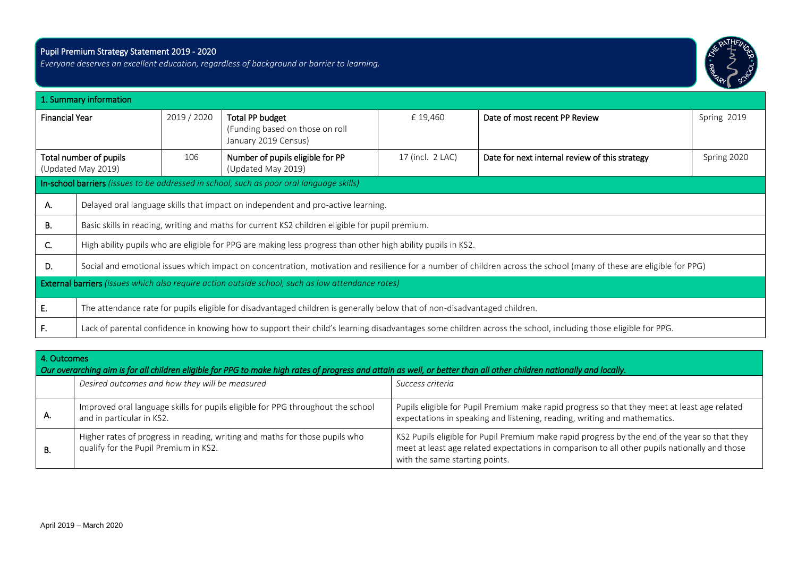## Pupil Premium Strategy Statement 2019 - 2020

i

*Everyone deserves an excellent education, regardless of background or barrier to learning.* 



|                                              | 1. Summary information                                                                                                                                               |             |                                                                                                              |                  |                                                |             |  |
|----------------------------------------------|----------------------------------------------------------------------------------------------------------------------------------------------------------------------|-------------|--------------------------------------------------------------------------------------------------------------|------------------|------------------------------------------------|-------------|--|
| <b>Financial Year</b>                        |                                                                                                                                                                      | 2019 / 2020 | Total PP budget<br>(Funding based on those on roll<br>January 2019 Census)                                   | £19,460          | Date of most recent PP Review                  | Spring 2019 |  |
| Total number of pupils<br>(Updated May 2019) |                                                                                                                                                                      | 106         | Number of pupils eligible for PP<br>(Updated May 2019)                                                       | 17 (incl. 2 LAC) | Date for next internal review of this strategy | Spring 2020 |  |
|                                              |                                                                                                                                                                      |             | In-school barriers (issues to be addressed in school, such as poor oral language skills)                     |                  |                                                |             |  |
| Α.                                           |                                                                                                                                                                      |             | Delayed oral language skills that impact on independent and pro-active learning.                             |                  |                                                |             |  |
| В.                                           | Basic skills in reading, writing and maths for current KS2 children eligible for pupil premium.                                                                      |             |                                                                                                              |                  |                                                |             |  |
| C.                                           |                                                                                                                                                                      |             | High ability pupils who are eligible for PPG are making less progress than other high ability pupils in KS2. |                  |                                                |             |  |
| D.                                           | Social and emotional issues which impact on concentration, motivation and resilience for a number of children across the school (many of these are eligible for PPG) |             |                                                                                                              |                  |                                                |             |  |
|                                              | <b>External barriers</b> (issues which also require action outside school, such as low attendance rates)                                                             |             |                                                                                                              |                  |                                                |             |  |
| Е.                                           | The attendance rate for pupils eligible for disadvantaged children is generally below that of non-disadvantaged children.                                            |             |                                                                                                              |                  |                                                |             |  |
| F.                                           | Lack of parental confidence in knowing how to support their child's learning disadvantages some children across the school, including those eligible for PPG.        |             |                                                                                                              |                  |                                                |             |  |

| 4. Outcomes<br>Our overarching aim is for all children eligible for PPG to make high rates of progress and attain as well, or better than all other children nationally and locally. |                                                                                                                      |                                                                                                                                                                                                                                  |  |  |  |  |  |  |
|--------------------------------------------------------------------------------------------------------------------------------------------------------------------------------------|----------------------------------------------------------------------------------------------------------------------|----------------------------------------------------------------------------------------------------------------------------------------------------------------------------------------------------------------------------------|--|--|--|--|--|--|
|                                                                                                                                                                                      | Desired outcomes and how they will be measured                                                                       | Success criteria                                                                                                                                                                                                                 |  |  |  |  |  |  |
| А.                                                                                                                                                                                   | Improved oral language skills for pupils eligible for PPG throughout the school<br>and in particular in KS2.         | Pupils eligible for Pupil Premium make rapid progress so that they meet at least age related<br>expectations in speaking and listening, reading, writing and mathematics.                                                        |  |  |  |  |  |  |
| В.                                                                                                                                                                                   | Higher rates of progress in reading, writing and maths for those pupils who<br>qualify for the Pupil Premium in KS2. | KS2 Pupils eligible for Pupil Premium make rapid progress by the end of the year so that they<br>meet at least age related expectations in comparison to all other pupils nationally and those<br>with the same starting points. |  |  |  |  |  |  |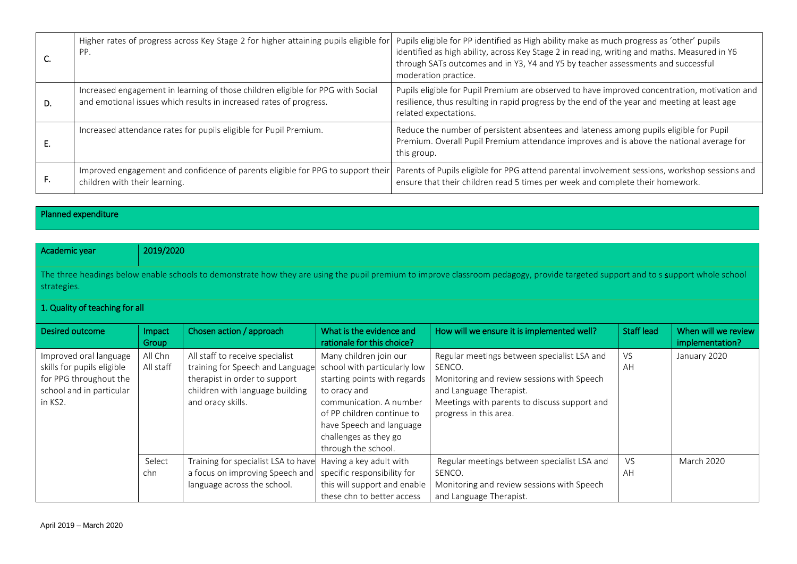|    | Higher rates of progress across Key Stage 2 for higher attaining pupils eligible for<br>PP.                                                           | Pupils eligible for PP identified as High ability make as much progress as 'other' pupils<br>identified as high ability, across Key Stage 2 in reading, writing and maths. Measured in Y6<br>through SATs outcomes and in Y3, Y4 and Y5 by teacher assessments and successful<br>moderation practice. |
|----|-------------------------------------------------------------------------------------------------------------------------------------------------------|-------------------------------------------------------------------------------------------------------------------------------------------------------------------------------------------------------------------------------------------------------------------------------------------------------|
| D. | Increased engagement in learning of those children eligible for PPG with Social<br>and emotional issues which results in increased rates of progress. | Pupils eligible for Pupil Premium are observed to have improved concentration, motivation and<br>resilience, thus resulting in rapid progress by the end of the year and meeting at least age<br>related expectations.                                                                                |
|    | Increased attendance rates for pupils eligible for Pupil Premium.                                                                                     | Reduce the number of persistent absentees and lateness among pupils eligible for Pupil<br>Premium. Overall Pupil Premium attendance improves and is above the national average for<br>this group.                                                                                                     |
| ┢. | Improved engagement and confidence of parents eligible for PPG to support their<br>children with their learning.                                      | Parents of Pupils eligible for PPG attend parental involvement sessions, workshop sessions and<br>ensure that their children read 5 times per week and complete their homework.                                                                                                                       |

Planned expenditure

| Academic year                                                                                                                                                                                    | 2019/2020            |                                                                                                                                                              |                                                                                                                                                                                                                                             |                                                                                                                                                                                                          |                   |                                        |  |  |
|--------------------------------------------------------------------------------------------------------------------------------------------------------------------------------------------------|----------------------|--------------------------------------------------------------------------------------------------------------------------------------------------------------|---------------------------------------------------------------------------------------------------------------------------------------------------------------------------------------------------------------------------------------------|----------------------------------------------------------------------------------------------------------------------------------------------------------------------------------------------------------|-------------------|----------------------------------------|--|--|
| The three headings below enable schools to demonstrate how they are using the pupil premium to improve classroom pedagogy, provide targeted support and to s support whole school<br>strategies. |                      |                                                                                                                                                              |                                                                                                                                                                                                                                             |                                                                                                                                                                                                          |                   |                                        |  |  |
| 1. Quality of teaching for all                                                                                                                                                                   |                      |                                                                                                                                                              |                                                                                                                                                                                                                                             |                                                                                                                                                                                                          |                   |                                        |  |  |
| Desired outcome                                                                                                                                                                                  | Impact<br>Group      | Chosen action / approach                                                                                                                                     | What is the evidence and<br>rationale for this choice?                                                                                                                                                                                      | How will we ensure it is implemented well?                                                                                                                                                               | <b>Staff lead</b> | When will we review<br>implementation? |  |  |
| Improved oral language<br>skills for pupils eligible<br>for PPG throughout the<br>school and in particular<br>in KS2.                                                                            | All Chn<br>All staff | All staff to receive specialist<br>training for Speech and Language<br>therapist in order to support<br>children with language building<br>and oracy skills. | Many children join our<br>school with particularly low<br>starting points with regards<br>to oracy and<br>communication. A number<br>of PP children continue to<br>have Speech and language<br>challenges as they go<br>through the school. | Regular meetings between specialist LSA and<br>SENCO.<br>Monitoring and review sessions with Speech<br>and Language Therapist.<br>Meetings with parents to discuss support and<br>progress in this area. | VS.<br>AH         | January 2020                           |  |  |
|                                                                                                                                                                                                  | Select<br>chn        | Training for specialist LSA to have<br>a focus on improving Speech and<br>language across the school.                                                        | Having a key adult with<br>specific responsibility for<br>this will support and enable<br>these chn to better access                                                                                                                        | Regular meetings between specialist LSA and<br>SENCO.<br>Monitoring and review sessions with Speech<br>and Language Therapist.                                                                           | <b>VS</b><br>AH   | <b>March 2020</b>                      |  |  |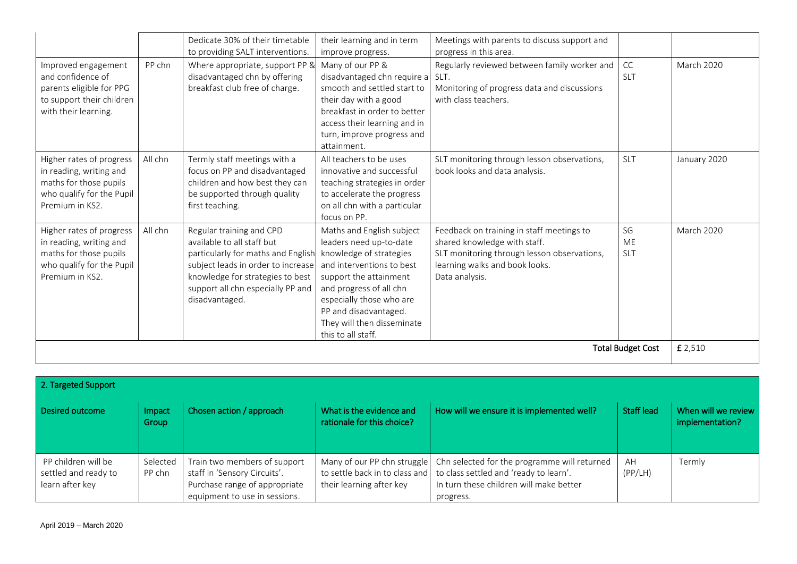|                                                                                                                               |         | Dedicate 30% of their timetable                                                                                                                                                                                               | their learning and in term                                                                                                                                                                                                                                                 | Meetings with parents to discuss support and                                                                                                                                 |                        |                   |
|-------------------------------------------------------------------------------------------------------------------------------|---------|-------------------------------------------------------------------------------------------------------------------------------------------------------------------------------------------------------------------------------|----------------------------------------------------------------------------------------------------------------------------------------------------------------------------------------------------------------------------------------------------------------------------|------------------------------------------------------------------------------------------------------------------------------------------------------------------------------|------------------------|-------------------|
|                                                                                                                               |         | to providing SALT interventions.                                                                                                                                                                                              | improve progress.                                                                                                                                                                                                                                                          | progress in this area.                                                                                                                                                       |                        |                   |
| Improved engagement<br>and confidence of<br>parents eligible for PPG<br>to support their children<br>with their learning.     | PP chn  | Where appropriate, support PP &<br>disadvantaged chn by offering<br>breakfast club free of charge.                                                                                                                            | Many of our PP &<br>disadvantaged chn require a SLT.<br>smooth and settled start to<br>their day with a good<br>breakfast in order to better<br>access their learning and in<br>turn, improve progress and<br>attainment.                                                  | Regularly reviewed between family worker and<br>Monitoring of progress data and discussions<br>with class teachers.                                                          | CC<br><b>SLT</b>       | <b>March 2020</b> |
| Higher rates of progress<br>in reading, writing and<br>maths for those pupils<br>who qualify for the Pupil<br>Premium in KS2. | All chn | Termly staff meetings with a<br>focus on PP and disadvantaged<br>children and how best they can<br>be supported through quality<br>first teaching.                                                                            | All teachers to be uses<br>innovative and successful<br>teaching strategies in order<br>to accelerate the progress<br>on all chn with a particular<br>focus on PP.                                                                                                         | SLT monitoring through lesson observations,<br>book looks and data analysis.                                                                                                 | SLT                    | January 2020      |
| Higher rates of progress<br>in reading, writing and<br>maths for those pupils<br>who qualify for the Pupil<br>Premium in KS2. | All chn | Regular training and CPD<br>available to all staff but<br>particularly for maths and English<br>subject leads in order to increase<br>knowledge for strategies to best<br>support all chn especially PP and<br>disadvantaged. | Maths and English subject<br>leaders need up-to-date<br>knowledge of strategies<br>and interventions to best<br>support the attainment<br>and progress of all chn<br>especially those who are<br>PP and disadvantaged.<br>They will then disseminate<br>this to all staff. | Feedback on training in staff meetings to<br>shared knowledge with staff.<br>SLT monitoring through lesson observations,<br>learning walks and book looks.<br>Data analysis. | SG<br>ME<br><b>SLT</b> | <b>March 2020</b> |
| <b>Total Budget Cost</b>                                                                                                      |         |                                                                                                                                                                                                                               |                                                                                                                                                                                                                                                                            |                                                                                                                                                                              |                        | £ 2,510           |

| 2. Targeted Support                                            |                    |                                                                                                                                |                                                         |                                                                                                                                                                               |                   |                                        |  |  |
|----------------------------------------------------------------|--------------------|--------------------------------------------------------------------------------------------------------------------------------|---------------------------------------------------------|-------------------------------------------------------------------------------------------------------------------------------------------------------------------------------|-------------------|----------------------------------------|--|--|
| Desired outcome                                                | Impact<br>Group    | Chosen action / approach                                                                                                       | What is the evidence and<br>rationale for this choice?  | How will we ensure it is implemented well?                                                                                                                                    | <b>Staff lead</b> | When will we review<br>implementation? |  |  |
| PP children will be<br>settled and ready to<br>learn after key | Selected<br>PP chn | Train two members of support<br>staff in 'Sensory Circuits'.<br>Purchase range of appropriate<br>equipment to use in sessions. | Many of our PP chn struggle<br>their learning after key | Chn selected for the programme will returned<br>to settle back in to class and to class settled and 'ready to learn'.<br>In turn these children will make better<br>progress. | AH<br>(PP/LH)     | Termly                                 |  |  |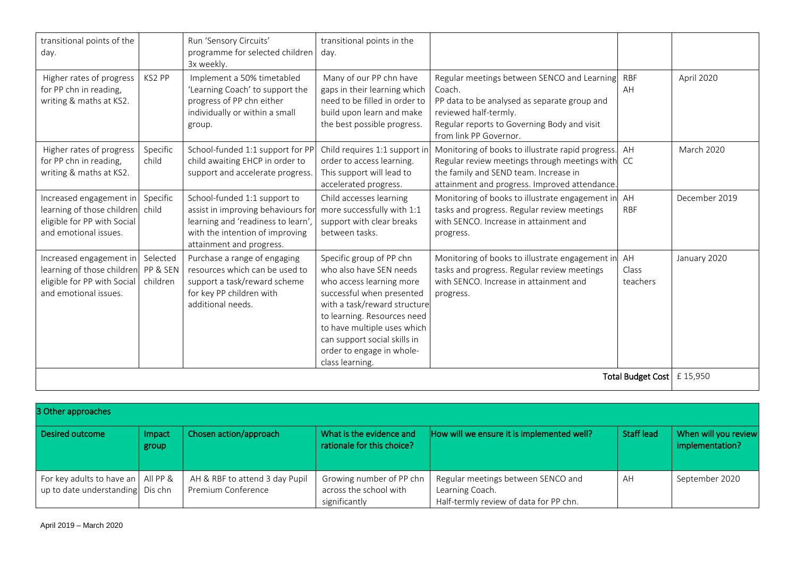| transitional points of the<br>day.                                                                            |                                  | Run 'Sensory Circuits'<br>programme for selected children<br>3x weekly.                                                                                                 | transitional points in the<br>day.                                                                                                                                                                                                                                                         |                                                                                                                                                                                                         |                              |                   |
|---------------------------------------------------------------------------------------------------------------|----------------------------------|-------------------------------------------------------------------------------------------------------------------------------------------------------------------------|--------------------------------------------------------------------------------------------------------------------------------------------------------------------------------------------------------------------------------------------------------------------------------------------|---------------------------------------------------------------------------------------------------------------------------------------------------------------------------------------------------------|------------------------------|-------------------|
| Higher rates of progress<br>for PP chn in reading,<br>writing & maths at KS2.                                 | KS2 PP                           | Implement a 50% timetabled<br>'Learning Coach' to support the<br>progress of PP chn either<br>individually or within a small<br>group.                                  | Many of our PP chn have<br>gaps in their learning which<br>need to be filled in order to<br>build upon learn and make<br>the best possible progress.                                                                                                                                       | Regular meetings between SENCO and Learning<br>Coach.<br>PP data to be analysed as separate group and<br>reviewed half-termly.<br>Regular reports to Governing Body and visit<br>from link PP Governor. | <b>RBF</b><br>AH             | April 2020        |
| Higher rates of progress<br>for PP chn in reading,<br>writing & maths at KS2.                                 | Specific<br>child                | School-funded 1:1 support for PP<br>child awaiting EHCP in order to<br>support and accelerate progress.                                                                 | Child requires 1:1 support in<br>order to access learning.<br>This support will lead to<br>accelerated progress.                                                                                                                                                                           | Monitoring of books to illustrate rapid progress. AH<br>Regular review meetings through meetings with CC<br>the family and SEND team. Increase in<br>attainment and progress. Improved attendance.      |                              | <b>March 2020</b> |
| Increased engagement in<br>learning of those children<br>eligible for PP with Social<br>and emotional issues. | Specific<br>child                | School-funded 1:1 support to<br>assist in improving behaviours for<br>learning and 'readiness to learn',<br>with the intention of improving<br>attainment and progress. | Child accesses learning<br>more successfully with 1:1<br>support with clear breaks<br>between tasks.                                                                                                                                                                                       | Monitoring of books to illustrate engagement in<br>tasks and progress. Regular review meetings<br>with SENCO. Increase in attainment and<br>progress.                                                   | AH<br><b>RBF</b>             | December 2019     |
| Increased engagement in<br>learning of those children<br>eligible for PP with Social<br>and emotional issues. | Selected<br>PP & SEN<br>children | Purchase a range of engaging<br>resources which can be used to<br>support a task/reward scheme<br>for key PP children with<br>additional needs.                         | Specific group of PP chn<br>who also have SEN needs<br>who access learning more<br>successful when presented<br>with a task/reward structure<br>to learning. Resources need<br>to have multiple uses which<br>can support social skills in<br>order to engage in whole-<br>class learning. | Monitoring of books to illustrate engagement in AH<br>tasks and progress. Regular review meetings<br>with SENCO. Increase in attainment and<br>progress.                                                | Class<br>teachers            | January 2020      |
|                                                                                                               |                                  |                                                                                                                                                                         |                                                                                                                                                                                                                                                                                            |                                                                                                                                                                                                         | Total Budget Cost   £ 15,950 |                   |

| 3 Other approaches                                                       |                 |                                                      |                                                                     |                                                                                                 |            |                                         |  |  |
|--------------------------------------------------------------------------|-----------------|------------------------------------------------------|---------------------------------------------------------------------|-------------------------------------------------------------------------------------------------|------------|-----------------------------------------|--|--|
| Desired outcome                                                          | Impact<br>group | Chosen action/approach                               | What is the evidence and<br>rationale for this choice?              | How will we ensure it is implemented well?                                                      | Staff lead | When will you review<br>implementation? |  |  |
| For key adults to have an   All PP &<br>up to date understanding Dis chn |                 | AH & RBF to attend 3 day Pupil<br>Premium Conference | Growing number of PP chn<br>across the school with<br>significantly | Regular meetings between SENCO and<br>Learning Coach.<br>Half-termly review of data for PP chn. | AH         | September 2020                          |  |  |